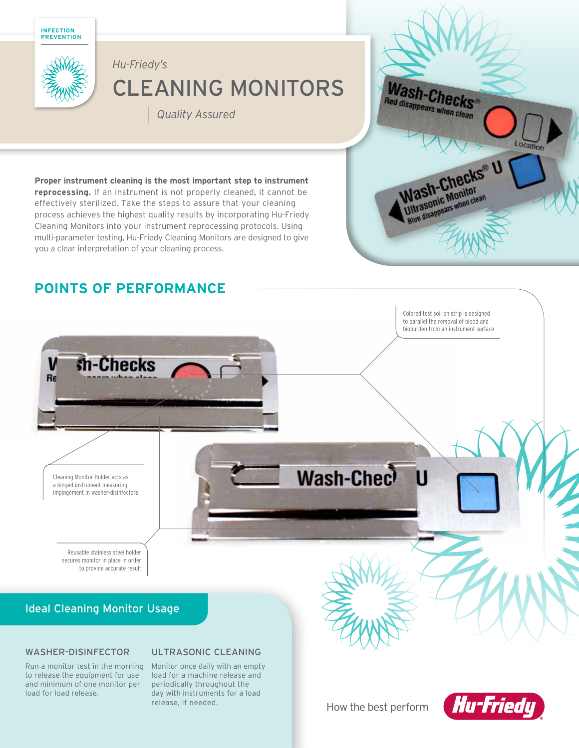



# CLEANING MONITORS *Hu-Friedy's*

| *Quality Assured*



#### **reprocessing.** If an instrument is not properly cleaned, it cannot be effectively sterilized. Take the steps to assure that your cleaning

process achieves the highest quality results by incorporating Hu-Friedy Cleaning Monitors into your instrument reprocessing protocols. Using multi-parameter testing, Hu-Friedy Cleaning Monitors are designed to give you a clear interpretation of your cleaning process.

**Proper instrument cleaning is the most important step to instrument** 

## **POINTS OF PERFORMANCE**

Colored test soil on strip is designed to parallel the removal of blood and bioburden from an instrument surface sh-Checks V Re Wash-Chec П Cleaning Monitor Holder acts as a hinged instrument measuring impingement in washer-disinfectors Reusable stainless steel holder secures monitor in place in order to provide accurate result Ideal Cleaning Monitor Usage

#### WASHER-DISINFECTOR

### ULTRASONIC CLEANING

Run a monitor test in the morning to release the equipment for use and minimum of one monitor per load for load release.

Monitor once daily with an empty load for a machine release and periodically throughout the day with instruments for a load release, if needed.

How the best perform